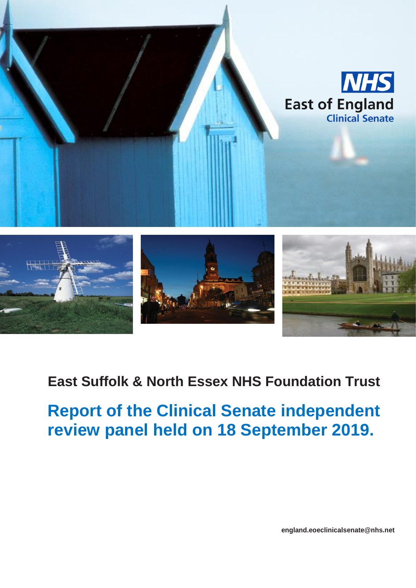

# **East Suffolk & North Essex NHS Foundation Trust**

**Report of the Clinical Senate independent review panel held on 18 September 2019.**

 $R$  **england.eoeclinicalsenate@nhs.net**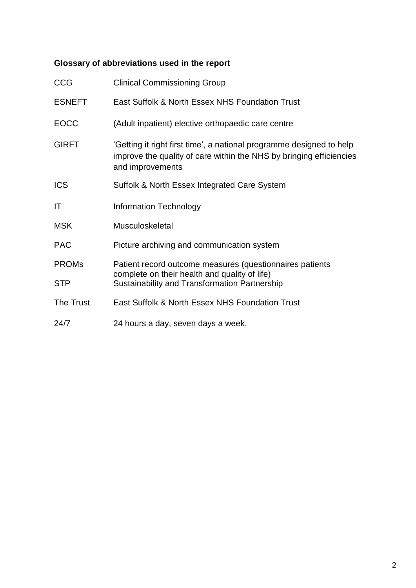# **Glossary of abbreviations used in the report**

| <b>CCG</b>    | <b>Clinical Commissioning Group</b>                                                                                                                             |
|---------------|-----------------------------------------------------------------------------------------------------------------------------------------------------------------|
| <b>ESNEFT</b> | East Suffolk & North Essex NHS Foundation Trust                                                                                                                 |
| <b>EOCC</b>   | (Adult inpatient) elective orthopaedic care centre                                                                                                              |
| <b>GIRFT</b>  | 'Getting it right first time', a national programme designed to help<br>improve the quality of care within the NHS by bringing efficiencies<br>and improvements |
| <b>ICS</b>    | Suffolk & North Essex Integrated Care System                                                                                                                    |
| IT            | <b>Information Technology</b>                                                                                                                                   |
| <b>MSK</b>    | Musculoskeletal                                                                                                                                                 |
| <b>PAC</b>    | Picture archiving and communication system                                                                                                                      |
| <b>PROMs</b>  | Patient record outcome measures (questionnaires patients                                                                                                        |
| <b>STP</b>    | complete on their health and quality of life)<br>Sustainability and Transformation Partnership                                                                  |
| The Trust     | East Suffolk & North Essex NHS Foundation Trust                                                                                                                 |
| 24/7          | 24 hours a day, seven days a week.                                                                                                                              |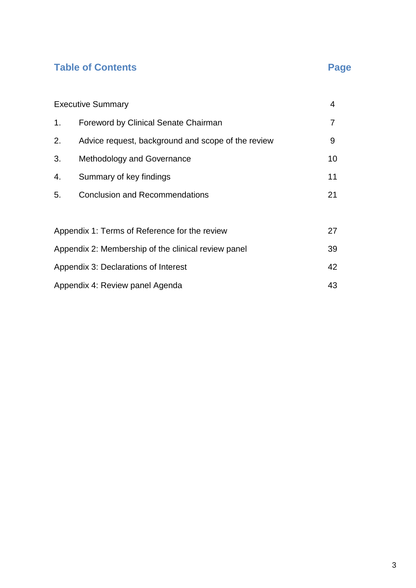# **Table of Contents Page**

|                                                           | <b>Executive Summary</b><br>4                      |    |
|-----------------------------------------------------------|----------------------------------------------------|----|
| 1.                                                        | <b>Foreword by Clinical Senate Chairman</b>        | 7  |
| 2.                                                        | Advice request, background and scope of the review | 9  |
| 3.                                                        | Methodology and Governance                         | 10 |
| 4.                                                        | Summary of key findings                            | 11 |
| 5.                                                        | <b>Conclusion and Recommendations</b>              | 21 |
|                                                           |                                                    |    |
| Appendix 1: Terms of Reference for the review<br>27       |                                                    |    |
| Appendix 2: Membership of the clinical review panel<br>39 |                                                    |    |
| 42<br>Appendix 3: Declarations of Interest                |                                                    |    |
|                                                           | 43<br>Appendix 4: Review panel Agenda              |    |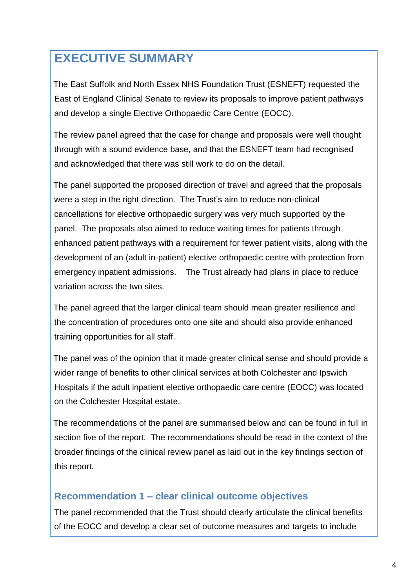# **EXECUTIVE SUMMARY**

The East Suffolk and North Essex NHS Foundation Trust (ESNEFT) requested the East of England Clinical Senate to review its proposals to improve patient pathways and develop a single Elective Orthopaedic Care Centre (EOCC).

The review panel agreed that the case for change and proposals were well thought through with a sound evidence base, and that the ESNEFT team had recognised and acknowledged that there was still work to do on the detail.

The panel supported the proposed direction of travel and agreed that the proposals were a step in the right direction. The Trust's aim to reduce non-clinical cancellations for elective orthopaedic surgery was very much supported by the panel. The proposals also aimed to reduce waiting times for patients through enhanced patient pathways with a requirement for fewer patient visits, along with the development of an (adult in-patient) elective orthopaedic centre with protection from emergency inpatient admissions. The Trust already had plans in place to reduce variation across the two sites.

The panel agreed that the larger clinical team should mean greater resilience and the concentration of procedures onto one site and should also provide enhanced training opportunities for all staff.

The panel was of the opinion that it made greater clinical sense and should provide a wider range of benefits to other clinical services at both Colchester and Ipswich Hospitals if the adult inpatient elective orthopaedic care centre (EOCC) was located on the Colchester Hospital estate.

The recommendations of the panel are summarised below and can be found in full in section five of the report. The recommendations should be read in the context of the broader findings of the clinical review panel as laid out in the key findings section of this report.

# **Recommendation 1 – clear clinical outcome objectives**

The panel recommended that the Trust should clearly articulate the clinical benefits of the EOCC and develop a clear set of outcome measures and targets to include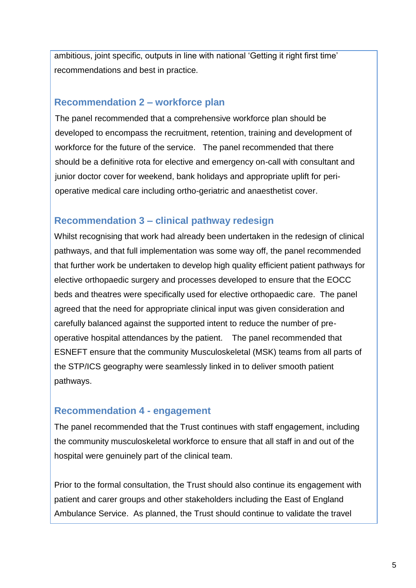ambitious, joint specific, outputs in line with national 'Getting it right first time' recommendations and best in practice.

### **Recommendation 2 – workforce plan**

The panel recommended that a comprehensive workforce plan should be developed to encompass the recruitment, retention, training and development of workforce for the future of the service. The panel recommended that there should be a definitive rota for elective and emergency on-call with consultant and junior doctor cover for weekend, bank holidays and appropriate uplift for perioperative medical care including ortho-geriatric and anaesthetist cover.

## **Recommendation 3 – clinical pathway redesign**

Whilst recognising that work had already been undertaken in the redesign of clinical pathways, and that full implementation was some way off, the panel recommended that further work be undertaken to develop high quality efficient patient pathways for elective orthopaedic surgery and processes developed to ensure that the EOCC beds and theatres were specifically used for elective orthopaedic care. The panel agreed that the need for appropriate clinical input was given consideration and carefully balanced against the supported intent to reduce the number of preoperative hospital attendances by the patient. The panel recommended that ESNEFT ensure that the community Musculoskeletal (MSK) teams from all parts of the STP/ICS geography were seamlessly linked in to deliver smooth patient pathways.

### **Recommendation 4 - engagement**

The panel recommended that the Trust continues with staff engagement, including the community musculoskeletal workforce to ensure that all staff in and out of the hospital were genuinely part of the clinical team.

Prior to the formal consultation, the Trust should also continue its engagement with patient and carer groups and other stakeholders including the East of England Ambulance Service. As planned, the Trust should continue to validate the travel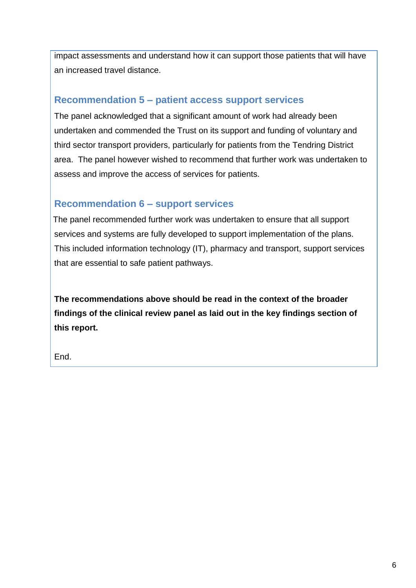impact assessments and understand how it can support those patients that will have an increased travel distance.

### **Recommendation 5 – patient access support services**

The panel acknowledged that a significant amount of work had already been undertaken and commended the Trust on its support and funding of voluntary and third sector transport providers, particularly for patients from the Tendring District area. The panel however wished to recommend that further work was undertaken to assess and improve the access of services for patients.

## **Recommendation 6 – support services**

The panel recommended further work was undertaken to ensure that all support services and systems are fully developed to support implementation of the plans. This included information technology (IT), pharmacy and transport, support services that are essential to safe patient pathways.

**The recommendations above should be read in the context of the broader findings of the clinical review panel as laid out in the key findings section of this report.**

End.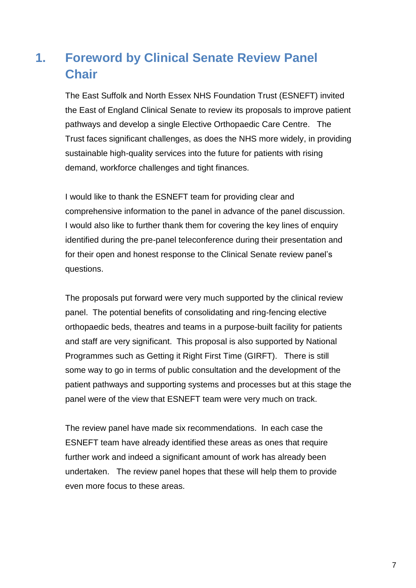# **1. Foreword by Clinical Senate Review Panel Chair**

The East Suffolk and North Essex NHS Foundation Trust (ESNEFT) invited the East of England Clinical Senate to review its proposals to improve patient pathways and develop a single Elective Orthopaedic Care Centre. The Trust faces significant challenges, as does the NHS more widely, in providing sustainable high-quality services into the future for patients with rising demand, workforce challenges and tight finances.

I would like to thank the ESNEFT team for providing clear and comprehensive information to the panel in advance of the panel discussion. I would also like to further thank them for covering the key lines of enquiry identified during the pre-panel teleconference during their presentation and for their open and honest response to the Clinical Senate review panel's questions.

The proposals put forward were very much supported by the clinical review panel. The potential benefits of consolidating and ring-fencing elective orthopaedic beds, theatres and teams in a purpose-built facility for patients and staff are very significant. This proposal is also supported by National Programmes such as Getting it Right First Time (GIRFT). There is still some way to go in terms of public consultation and the development of the patient pathways and supporting systems and processes but at this stage the panel were of the view that ESNEFT team were very much on track.

The review panel have made six recommendations. In each case the ESNEFT team have already identified these areas as ones that require further work and indeed a significant amount of work has already been undertaken. The review panel hopes that these will help them to provide even more focus to these areas.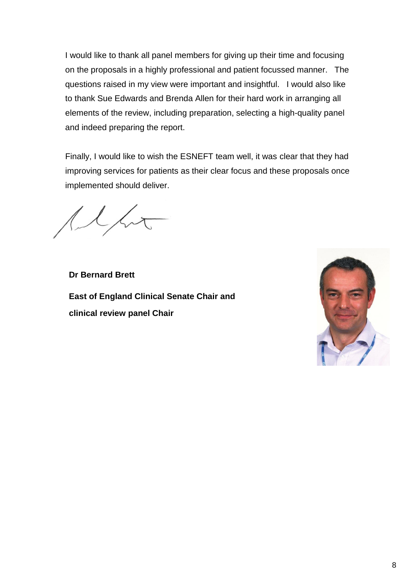I would like to thank all panel members for giving up their time and focusing on the proposals in a highly professional and patient focussed manner. The questions raised in my view were important and insightful. I would also like to thank Sue Edwards and Brenda Allen for their hard work in arranging all elements of the review, including preparation, selecting a high-quality panel and indeed preparing the report.

Finally, I would like to wish the ESNEFT team well, it was clear that they had improving services for patients as their clear focus and these proposals once implemented should deliver.

**Dr Bernard Brett East of England Clinical Senate Chair and clinical review panel Chair**

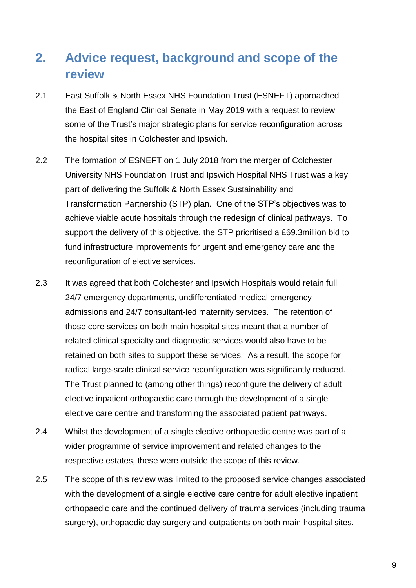# **2. Advice request, background and scope of the review**

- 2.1 East Suffolk & North Essex NHS Foundation Trust (ESNEFT) approached the East of England Clinical Senate in May 2019 with a request to review some of the Trust's major strategic plans for service reconfiguration across the hospital sites in Colchester and Ipswich.
- 2.2 The formation of ESNEFT on 1 July 2018 from the merger of Colchester University NHS Foundation Trust and Ipswich Hospital NHS Trust was a key part of delivering the Suffolk & North Essex Sustainability and Transformation Partnership (STP) plan. One of the STP's objectives was to achieve viable acute hospitals through the redesign of clinical pathways. To support the delivery of this objective, the STP prioritised a £69.3million bid to fund infrastructure improvements for urgent and emergency care and the reconfiguration of elective services.
- 2.3 It was agreed that both Colchester and Ipswich Hospitals would retain full 24/7 emergency departments, undifferentiated medical emergency admissions and 24/7 consultant-led maternity services. The retention of those core services on both main hospital sites meant that a number of related clinical specialty and diagnostic services would also have to be retained on both sites to support these services. As a result, the scope for radical large-scale clinical service reconfiguration was significantly reduced. The Trust planned to (among other things) reconfigure the delivery of adult elective inpatient orthopaedic care through the development of a single elective care centre and transforming the associated patient pathways.
- 2.4 Whilst the development of a single elective orthopaedic centre was part of a wider programme of service improvement and related changes to the respective estates, these were outside the scope of this review.
- 2.5 The scope of this review was limited to the proposed service changes associated with the development of a single elective care centre for adult elective inpatient orthopaedic care and the continued delivery of trauma services (including trauma surgery), orthopaedic day surgery and outpatients on both main hospital sites.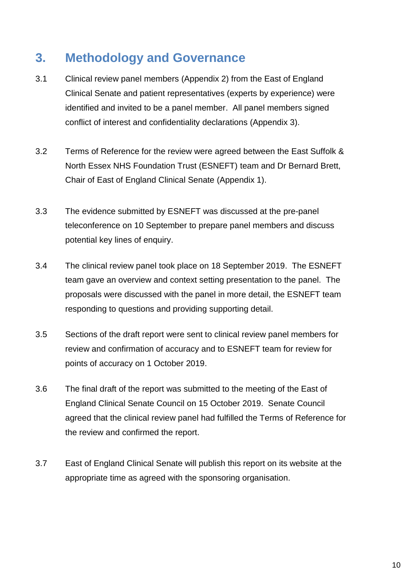# **3. Methodology and Governance**

- 3.1 Clinical review panel members (Appendix 2) from the East of England Clinical Senate and patient representatives (experts by experience) were identified and invited to be a panel member. All panel members signed conflict of interest and confidentiality declarations (Appendix 3).
- 3.2 Terms of Reference for the review were agreed between the East Suffolk & North Essex NHS Foundation Trust (ESNEFT) team and Dr Bernard Brett, Chair of East of England Clinical Senate (Appendix 1).
- 3.3 The evidence submitted by ESNEFT was discussed at the pre-panel teleconference on 10 September to prepare panel members and discuss potential key lines of enquiry.
- 3.4 The clinical review panel took place on 18 September 2019. The ESNEFT team gave an overview and context setting presentation to the panel. The proposals were discussed with the panel in more detail, the ESNEFT team responding to questions and providing supporting detail.
- 3.5 Sections of the draft report were sent to clinical review panel members for review and confirmation of accuracy and to ESNEFT team for review for points of accuracy on 1 October 2019.
- 3.6 The final draft of the report was submitted to the meeting of the East of England Clinical Senate Council on 15 October 2019. Senate Council agreed that the clinical review panel had fulfilled the Terms of Reference for the review and confirmed the report.
- 3.7 East of England Clinical Senate will publish this report on its website at the appropriate time as agreed with the sponsoring organisation.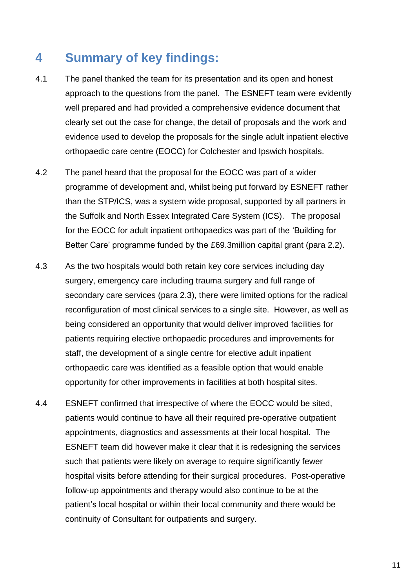# **4 Summary of key findings:**

- 4.1 The panel thanked the team for its presentation and its open and honest approach to the questions from the panel. The ESNEFT team were evidently well prepared and had provided a comprehensive evidence document that clearly set out the case for change, the detail of proposals and the work and evidence used to develop the proposals for the single adult inpatient elective orthopaedic care centre (EOCC) for Colchester and Ipswich hospitals.
- 4.2 The panel heard that the proposal for the EOCC was part of a wider programme of development and, whilst being put forward by ESNEFT rather than the STP/ICS, was a system wide proposal, supported by all partners in the Suffolk and North Essex Integrated Care System (ICS). The proposal for the EOCC for adult inpatient orthopaedics was part of the 'Building for Better Care' programme funded by the £69.3million capital grant (para 2.2).
- 4.3 As the two hospitals would both retain key core services including day surgery, emergency care including trauma surgery and full range of secondary care services (para 2.3), there were limited options for the radical reconfiguration of most clinical services to a single site. However, as well as being considered an opportunity that would deliver improved facilities for patients requiring elective orthopaedic procedures and improvements for staff, the development of a single centre for elective adult inpatient orthopaedic care was identified as a feasible option that would enable opportunity for other improvements in facilities at both hospital sites.
- 4.4 ESNEFT confirmed that irrespective of where the EOCC would be sited, patients would continue to have all their required pre-operative outpatient appointments, diagnostics and assessments at their local hospital. The ESNEFT team did however make it clear that it is redesigning the services such that patients were likely on average to require significantly fewer hospital visits before attending for their surgical procedures. Post-operative follow-up appointments and therapy would also continue to be at the patient's local hospital or within their local community and there would be continuity of Consultant for outpatients and surgery.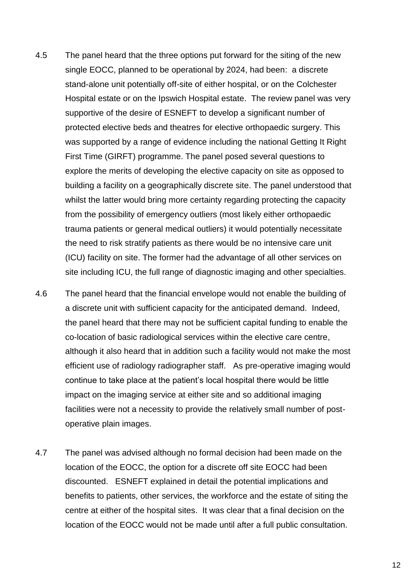- 4.5 The panel heard that the three options put forward for the siting of the new single EOCC, planned to be operational by 2024, had been: a discrete stand-alone unit potentially off-site of either hospital, or on the Colchester Hospital estate or on the Ipswich Hospital estate. The review panel was very supportive of the desire of ESNEFT to develop a significant number of protected elective beds and theatres for elective orthopaedic surgery. This was supported by a range of evidence including the national Getting It Right First Time (GIRFT) programme. The panel posed several questions to explore the merits of developing the elective capacity on site as opposed to building a facility on a geographically discrete site. The panel understood that whilst the latter would bring more certainty regarding protecting the capacity from the possibility of emergency outliers (most likely either orthopaedic trauma patients or general medical outliers) it would potentially necessitate the need to risk stratify patients as there would be no intensive care unit (ICU) facility on site. The former had the advantage of all other services on site including ICU, the full range of diagnostic imaging and other specialties.
- 4.6 The panel heard that the financial envelope would not enable the building of a discrete unit with sufficient capacity for the anticipated demand. Indeed, the panel heard that there may not be sufficient capital funding to enable the co-location of basic radiological services within the elective care centre, although it also heard that in addition such a facility would not make the most efficient use of radiology radiographer staff. As pre-operative imaging would continue to take place at the patient's local hospital there would be little impact on the imaging service at either site and so additional imaging facilities were not a necessity to provide the relatively small number of postoperative plain images.
- 4.7 The panel was advised although no formal decision had been made on the location of the EOCC, the option for a discrete off site EOCC had been discounted. ESNEFT explained in detail the potential implications and benefits to patients, other services, the workforce and the estate of siting the centre at either of the hospital sites. It was clear that a final decision on the location of the EOCC would not be made until after a full public consultation.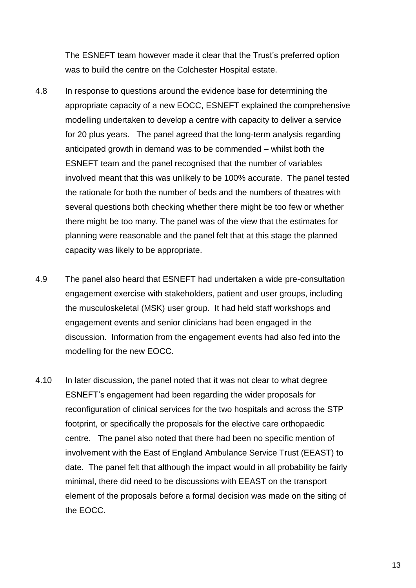The ESNEFT team however made it clear that the Trust's preferred option was to build the centre on the Colchester Hospital estate.

- 4.8 In response to questions around the evidence base for determining the appropriate capacity of a new EOCC, ESNEFT explained the comprehensive modelling undertaken to develop a centre with capacity to deliver a service for 20 plus years. The panel agreed that the long-term analysis regarding anticipated growth in demand was to be commended – whilst both the ESNEFT team and the panel recognised that the number of variables involved meant that this was unlikely to be 100% accurate. The panel tested the rationale for both the number of beds and the numbers of theatres with several questions both checking whether there might be too few or whether there might be too many. The panel was of the view that the estimates for planning were reasonable and the panel felt that at this stage the planned capacity was likely to be appropriate.
- 4.9 The panel also heard that ESNEFT had undertaken a wide pre-consultation engagement exercise with stakeholders, patient and user groups, including the musculoskeletal (MSK) user group. It had held staff workshops and engagement events and senior clinicians had been engaged in the discussion. Information from the engagement events had also fed into the modelling for the new EOCC.
- 4.10 In later discussion, the panel noted that it was not clear to what degree ESNEFT's engagement had been regarding the wider proposals for reconfiguration of clinical services for the two hospitals and across the STP footprint, or specifically the proposals for the elective care orthopaedic centre. The panel also noted that there had been no specific mention of involvement with the East of England Ambulance Service Trust (EEAST) to date. The panel felt that although the impact would in all probability be fairly minimal, there did need to be discussions with EEAST on the transport element of the proposals before a formal decision was made on the siting of the EOCC.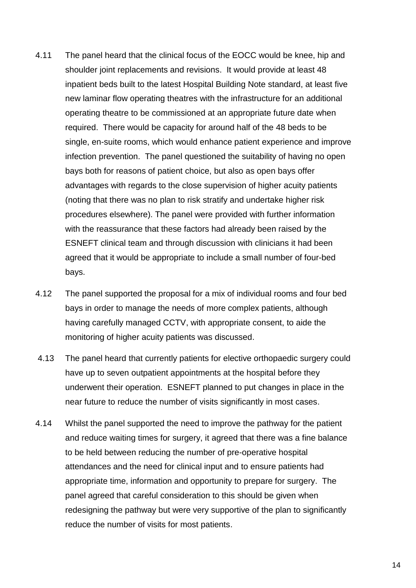- 4.11 The panel heard that the clinical focus of the EOCC would be knee, hip and shoulder joint replacements and revisions. It would provide at least 48 inpatient beds built to the latest Hospital Building Note standard, at least five new laminar flow operating theatres with the infrastructure for an additional operating theatre to be commissioned at an appropriate future date when required. There would be capacity for around half of the 48 beds to be single, en-suite rooms, which would enhance patient experience and improve infection prevention. The panel questioned the suitability of having no open bays both for reasons of patient choice, but also as open bays offer advantages with regards to the close supervision of higher acuity patients (noting that there was no plan to risk stratify and undertake higher risk procedures elsewhere). The panel were provided with further information with the reassurance that these factors had already been raised by the ESNEFT clinical team and through discussion with clinicians it had been agreed that it would be appropriate to include a small number of four-bed bays.
- 4.12 The panel supported the proposal for a mix of individual rooms and four bed bays in order to manage the needs of more complex patients, although having carefully managed CCTV, with appropriate consent, to aide the monitoring of higher acuity patients was discussed.
- 4.13 The panel heard that currently patients for elective orthopaedic surgery could have up to seven outpatient appointments at the hospital before they underwent their operation. ESNEFT planned to put changes in place in the near future to reduce the number of visits significantly in most cases.
- 4.14 Whilst the panel supported the need to improve the pathway for the patient and reduce waiting times for surgery, it agreed that there was a fine balance to be held between reducing the number of pre-operative hospital attendances and the need for clinical input and to ensure patients had appropriate time, information and opportunity to prepare for surgery. The panel agreed that careful consideration to this should be given when redesigning the pathway but were very supportive of the plan to significantly reduce the number of visits for most patients.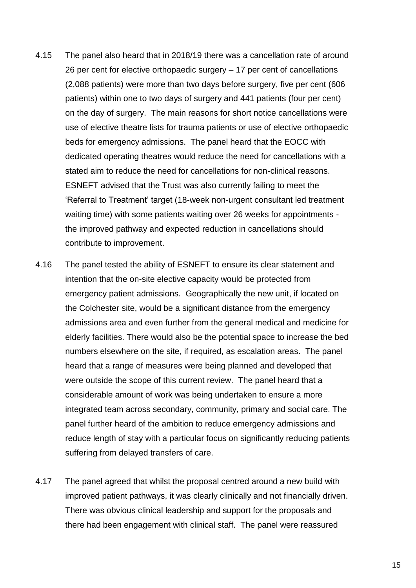- 4.15 The panel also heard that in 2018/19 there was a cancellation rate of around 26 per cent for elective orthopaedic surgery – 17 per cent of cancellations (2,088 patients) were more than two days before surgery, five per cent (606 patients) within one to two days of surgery and 441 patients (four per cent) on the day of surgery. The main reasons for short notice cancellations were use of elective theatre lists for trauma patients or use of elective orthopaedic beds for emergency admissions. The panel heard that the EOCC with dedicated operating theatres would reduce the need for cancellations with a stated aim to reduce the need for cancellations for non-clinical reasons. ESNEFT advised that the Trust was also currently failing to meet the 'Referral to Treatment' target (18-week non-urgent consultant led treatment waiting time) with some patients waiting over 26 weeks for appointments the improved pathway and expected reduction in cancellations should contribute to improvement.
- 4.16 The panel tested the ability of ESNEFT to ensure its clear statement and intention that the on-site elective capacity would be protected from emergency patient admissions. Geographically the new unit, if located on the Colchester site, would be a significant distance from the emergency admissions area and even further from the general medical and medicine for elderly facilities. There would also be the potential space to increase the bed numbers elsewhere on the site, if required, as escalation areas. The panel heard that a range of measures were being planned and developed that were outside the scope of this current review. The panel heard that a considerable amount of work was being undertaken to ensure a more integrated team across secondary, community, primary and social care. The panel further heard of the ambition to reduce emergency admissions and reduce length of stay with a particular focus on significantly reducing patients suffering from delayed transfers of care.
- 4.17 The panel agreed that whilst the proposal centred around a new build with improved patient pathways, it was clearly clinically and not financially driven. There was obvious clinical leadership and support for the proposals and there had been engagement with clinical staff. The panel were reassured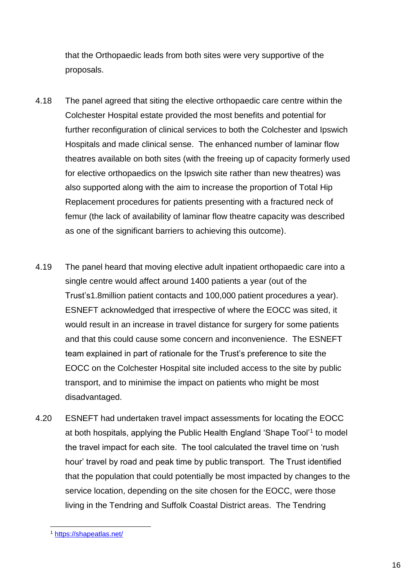that the Orthopaedic leads from both sites were very supportive of the proposals.

- 4.18 The panel agreed that siting the elective orthopaedic care centre within the Colchester Hospital estate provided the most benefits and potential for further reconfiguration of clinical services to both the Colchester and Ipswich Hospitals and made clinical sense. The enhanced number of laminar flow theatres available on both sites (with the freeing up of capacity formerly used for elective orthopaedics on the Ipswich site rather than new theatres) was also supported along with the aim to increase the proportion of Total Hip Replacement procedures for patients presenting with a fractured neck of femur (the lack of availability of laminar flow theatre capacity was described as one of the significant barriers to achieving this outcome).
- 4.19 The panel heard that moving elective adult inpatient orthopaedic care into a single centre would affect around 1400 patients a year (out of the Trust's1.8million patient contacts and 100,000 patient procedures a year). ESNEFT acknowledged that irrespective of where the EOCC was sited, it would result in an increase in travel distance for surgery for some patients and that this could cause some concern and inconvenience. The ESNEFT team explained in part of rationale for the Trust's preference to site the EOCC on the Colchester Hospital site included access to the site by public transport, and to minimise the impact on patients who might be most disadvantaged.
- 4.20 ESNEFT had undertaken travel impact assessments for locating the EOCC at both hospitals, applying the Public Health England 'Shape Tool'<sup>1</sup> to model the travel impact for each site. The tool calculated the travel time on 'rush hour' travel by road and peak time by public transport. The Trust identified that the population that could potentially be most impacted by changes to the service location, depending on the site chosen for the EOCC, were those living in the Tendring and Suffolk Coastal District areas. The Tendring

-

<sup>1</sup> <https://shapeatlas.net/>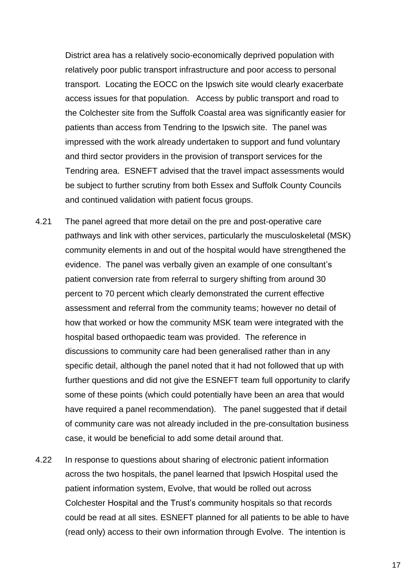District area has a relatively socio-economically deprived population with relatively poor public transport infrastructure and poor access to personal transport. Locating the EOCC on the Ipswich site would clearly exacerbate access issues for that population. Access by public transport and road to the Colchester site from the Suffolk Coastal area was significantly easier for patients than access from Tendring to the Ipswich site. The panel was impressed with the work already undertaken to support and fund voluntary and third sector providers in the provision of transport services for the Tendring area. ESNEFT advised that the travel impact assessments would be subject to further scrutiny from both Essex and Suffolk County Councils and continued validation with patient focus groups.

- 4.21 The panel agreed that more detail on the pre and post-operative care pathways and link with other services, particularly the musculoskeletal (MSK) community elements in and out of the hospital would have strengthened the evidence. The panel was verbally given an example of one consultant's patient conversion rate from referral to surgery shifting from around 30 percent to 70 percent which clearly demonstrated the current effective assessment and referral from the community teams; however no detail of how that worked or how the community MSK team were integrated with the hospital based orthopaedic team was provided. The reference in discussions to community care had been generalised rather than in any specific detail, although the panel noted that it had not followed that up with further questions and did not give the ESNEFT team full opportunity to clarify some of these points (which could potentially have been an area that would have required a panel recommendation). The panel suggested that if detail of community care was not already included in the pre-consultation business case, it would be beneficial to add some detail around that.
- 4.22 In response to questions about sharing of electronic patient information across the two hospitals, the panel learned that Ipswich Hospital used the patient information system, Evolve, that would be rolled out across Colchester Hospital and the Trust's community hospitals so that records could be read at all sites. ESNEFT planned for all patients to be able to have (read only) access to their own information through Evolve. The intention is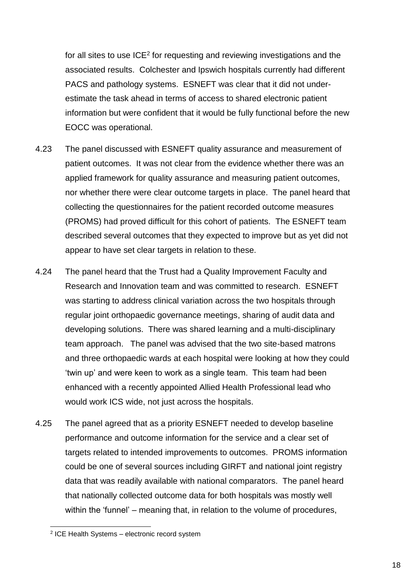for all sites to use  $ICE<sup>2</sup>$  for requesting and reviewing investigations and the associated results. Colchester and Ipswich hospitals currently had different PACS and pathology systems. ESNEFT was clear that it did not underestimate the task ahead in terms of access to shared electronic patient information but were confident that it would be fully functional before the new EOCC was operational.

- 4.23 The panel discussed with ESNEFT quality assurance and measurement of patient outcomes. It was not clear from the evidence whether there was an applied framework for quality assurance and measuring patient outcomes, nor whether there were clear outcome targets in place. The panel heard that collecting the questionnaires for the patient recorded outcome measures (PROMS) had proved difficult for this cohort of patients. The ESNEFT team described several outcomes that they expected to improve but as yet did not appear to have set clear targets in relation to these.
- 4.24 The panel heard that the Trust had a Quality Improvement Faculty and Research and Innovation team and was committed to research. ESNEFT was starting to address clinical variation across the two hospitals through regular joint orthopaedic governance meetings, sharing of audit data and developing solutions. There was shared learning and a multi-disciplinary team approach. The panel was advised that the two site-based matrons and three orthopaedic wards at each hospital were looking at how they could 'twin up' and were keen to work as a single team. This team had been enhanced with a recently appointed Allied Health Professional lead who would work ICS wide, not just across the hospitals.
- 4.25 The panel agreed that as a priority ESNEFT needed to develop baseline performance and outcome information for the service and a clear set of targets related to intended improvements to outcomes. PROMS information could be one of several sources including GIRFT and national joint registry data that was readily available with national comparators. The panel heard that nationally collected outcome data for both hospitals was mostly well within the 'funnel' – meaning that, in relation to the volume of procedures,

<sup>-</sup>2 ICE Health Systems – electronic record system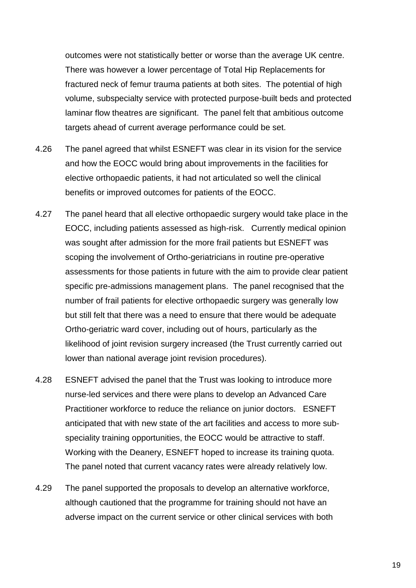outcomes were not statistically better or worse than the average UK centre. There was however a lower percentage of Total Hip Replacements for fractured neck of femur trauma patients at both sites. The potential of high volume, subspecialty service with protected purpose-built beds and protected laminar flow theatres are significant. The panel felt that ambitious outcome targets ahead of current average performance could be set.

- 4.26 The panel agreed that whilst ESNEFT was clear in its vision for the service and how the EOCC would bring about improvements in the facilities for elective orthopaedic patients, it had not articulated so well the clinical benefits or improved outcomes for patients of the EOCC.
- 4.27 The panel heard that all elective orthopaedic surgery would take place in the EOCC, including patients assessed as high-risk. Currently medical opinion was sought after admission for the more frail patients but ESNEFT was scoping the involvement of Ortho-geriatricians in routine pre-operative assessments for those patients in future with the aim to provide clear patient specific pre-admissions management plans. The panel recognised that the number of frail patients for elective orthopaedic surgery was generally low but still felt that there was a need to ensure that there would be adequate Ortho-geriatric ward cover, including out of hours, particularly as the likelihood of joint revision surgery increased (the Trust currently carried out lower than national average joint revision procedures).
- 4.28 ESNEFT advised the panel that the Trust was looking to introduce more nurse-led services and there were plans to develop an Advanced Care Practitioner workforce to reduce the reliance on junior doctors. ESNEFT anticipated that with new state of the art facilities and access to more subspeciality training opportunities, the EOCC would be attractive to staff. Working with the Deanery, ESNEFT hoped to increase its training quota. The panel noted that current vacancy rates were already relatively low.
- 4.29 The panel supported the proposals to develop an alternative workforce, although cautioned that the programme for training should not have an adverse impact on the current service or other clinical services with both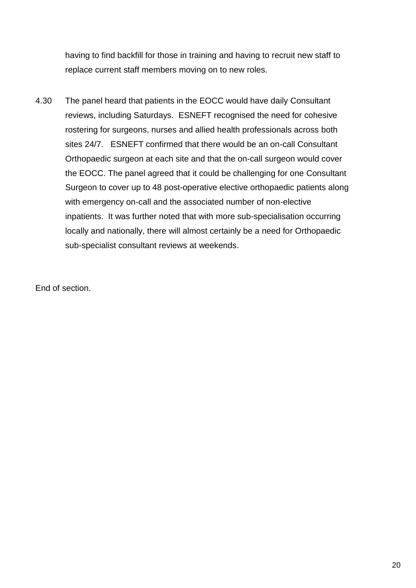having to find backfill for those in training and having to recruit new staff to replace current staff members moving on to new roles.

4.30 The panel heard that patients in the EOCC would have daily Consultant reviews, including Saturdays. ESNEFT recognised the need for cohesive rostering for surgeons, nurses and allied health professionals across both sites 24/7. ESNEFT confirmed that there would be an on-call Consultant Orthopaedic surgeon at each site and that the on-call surgeon would cover the EOCC. The panel agreed that it could be challenging for one Consultant Surgeon to cover up to 48 post-operative elective orthopaedic patients along with emergency on-call and the associated number of non-elective inpatients. It was further noted that with more sub-specialisation occurring locally and nationally, there will almost certainly be a need for Orthopaedic sub-specialist consultant reviews at weekends.

End of section.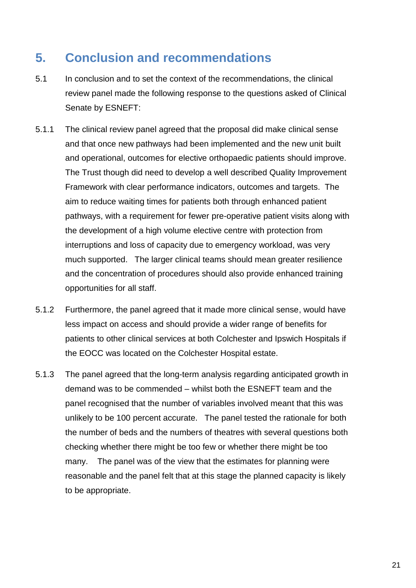# **5. Conclusion and recommendations**

- 5.1 In conclusion and to set the context of the recommendations, the clinical review panel made the following response to the questions asked of Clinical Senate by ESNEFT:
- 5.1.1 The clinical review panel agreed that the proposal did make clinical sense and that once new pathways had been implemented and the new unit built and operational, outcomes for elective orthopaedic patients should improve. The Trust though did need to develop a well described Quality Improvement Framework with clear performance indicators, outcomes and targets. The aim to reduce waiting times for patients both through enhanced patient pathways, with a requirement for fewer pre-operative patient visits along with the development of a high volume elective centre with protection from interruptions and loss of capacity due to emergency workload, was very much supported. The larger clinical teams should mean greater resilience and the concentration of procedures should also provide enhanced training opportunities for all staff.
- 5.1.2 Furthermore, the panel agreed that it made more clinical sense, would have less impact on access and should provide a wider range of benefits for patients to other clinical services at both Colchester and Ipswich Hospitals if the EOCC was located on the Colchester Hospital estate.
- 5.1.3 The panel agreed that the long-term analysis regarding anticipated growth in demand was to be commended – whilst both the ESNEFT team and the panel recognised that the number of variables involved meant that this was unlikely to be 100 percent accurate. The panel tested the rationale for both the number of beds and the numbers of theatres with several questions both checking whether there might be too few or whether there might be too many. The panel was of the view that the estimates for planning were reasonable and the panel felt that at this stage the planned capacity is likely to be appropriate.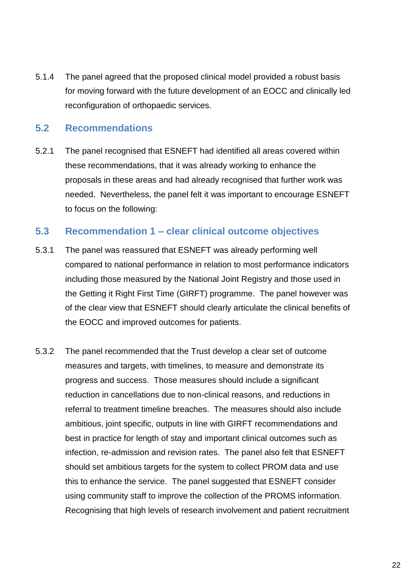5.1.4 The panel agreed that the proposed clinical model provided a robust basis for moving forward with the future development of an EOCC and clinically led reconfiguration of orthopaedic services.

### **5.2 Recommendations**

5.2.1 The panel recognised that ESNEFT had identified all areas covered within these recommendations, that it was already working to enhance the proposals in these areas and had already recognised that further work was needed. Nevertheless, the panel felt it was important to encourage ESNEFT to focus on the following:

#### **5.3 Recommendation 1 – clear clinical outcome objectives**

- 5.3.1 The panel was reassured that ESNEFT was already performing well compared to national performance in relation to most performance indicators including those measured by the National Joint Registry and those used in the Getting it Right First Time (GIRFT) programme. The panel however was of the clear view that ESNEFT should clearly articulate the clinical benefits of the EOCC and improved outcomes for patients.
- 5.3.2 The panel recommended that the Trust develop a clear set of outcome measures and targets, with timelines, to measure and demonstrate its progress and success. Those measures should include a significant reduction in cancellations due to non-clinical reasons, and reductions in referral to treatment timeline breaches. The measures should also include ambitious, joint specific, outputs in line with GIRFT recommendations and best in practice for length of stay and important clinical outcomes such as infection, re-admission and revision rates. The panel also felt that ESNEFT should set ambitious targets for the system to collect PROM data and use this to enhance the service. The panel suggested that ESNEFT consider using community staff to improve the collection of the PROMS information. Recognising that high levels of research involvement and patient recruitment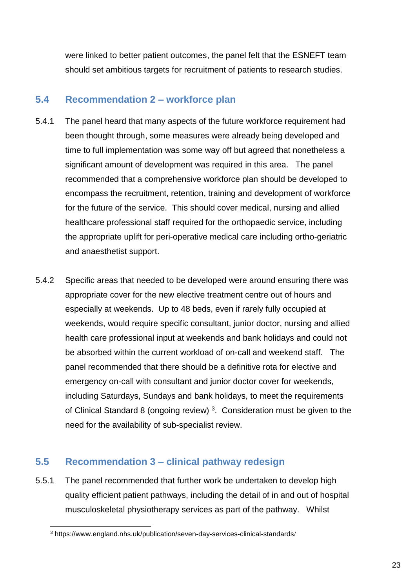were linked to better patient outcomes, the panel felt that the ESNEFT team should set ambitious targets for recruitment of patients to research studies.

### **5.4 Recommendation 2 – workforce plan**

- 5.4.1 The panel heard that many aspects of the future workforce requirement had been thought through, some measures were already being developed and time to full implementation was some way off but agreed that nonetheless a significant amount of development was required in this area. The panel recommended that a comprehensive workforce plan should be developed to encompass the recruitment, retention, training and development of workforce for the future of the service. This should cover medical, nursing and allied healthcare professional staff required for the orthopaedic service, including the appropriate uplift for peri-operative medical care including ortho-geriatric and anaesthetist support.
- 5.4.2 Specific areas that needed to be developed were around ensuring there was appropriate cover for the new elective treatment centre out of hours and especially at weekends. Up to 48 beds, even if rarely fully occupied at weekends, would require specific consultant, junior doctor, nursing and allied health care professional input at weekends and bank holidays and could not be absorbed within the current workload of on-call and weekend staff. The panel recommended that there should be a definitive rota for elective and emergency on-call with consultant and junior doctor cover for weekends, including Saturdays, Sundays and bank holidays, to meet the requirements of Clinical Standard 8 (ongoing review)<sup>3</sup>. Consideration must be given to the need for the availability of sub-specialist review.

# **5.5 Recommendation 3 – clinical pathway redesign**

5.5.1 The panel recommended that further work be undertaken to develop high quality efficient patient pathways, including the detail of in and out of hospital musculoskeletal physiotherapy services as part of the pathway. Whilst

<sup>-</sup><sup>3</sup> https://www.england.nhs.uk/publication/seven-day-services-clinical-standards/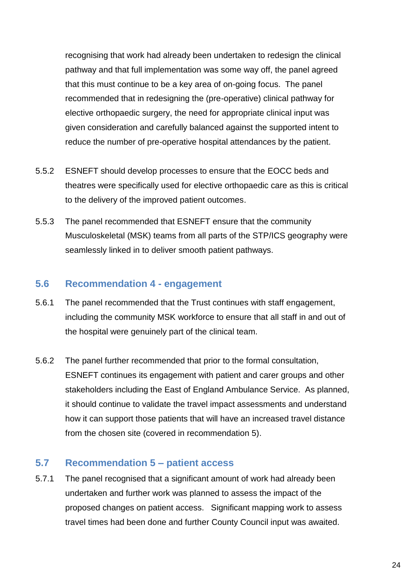recognising that work had already been undertaken to redesign the clinical pathway and that full implementation was some way off, the panel agreed that this must continue to be a key area of on-going focus. The panel recommended that in redesigning the (pre-operative) clinical pathway for elective orthopaedic surgery, the need for appropriate clinical input was given consideration and carefully balanced against the supported intent to reduce the number of pre-operative hospital attendances by the patient.

- 5.5.2 ESNEFT should develop processes to ensure that the EOCC beds and theatres were specifically used for elective orthopaedic care as this is critical to the delivery of the improved patient outcomes.
- 5.5.3 The panel recommended that ESNEFT ensure that the community Musculoskeletal (MSK) teams from all parts of the STP/ICS geography were seamlessly linked in to deliver smooth patient pathways.

### **5.6 Recommendation 4 - engagement**

- 5.6.1 The panel recommended that the Trust continues with staff engagement, including the community MSK workforce to ensure that all staff in and out of the hospital were genuinely part of the clinical team.
- 5.6.2 The panel further recommended that prior to the formal consultation, ESNEFT continues its engagement with patient and carer groups and other stakeholders including the East of England Ambulance Service. As planned, it should continue to validate the travel impact assessments and understand how it can support those patients that will have an increased travel distance from the chosen site (covered in recommendation 5).

### **5.7 Recommendation 5 – patient access**

5.7.1 The panel recognised that a significant amount of work had already been undertaken and further work was planned to assess the impact of the proposed changes on patient access. Significant mapping work to assess travel times had been done and further County Council input was awaited.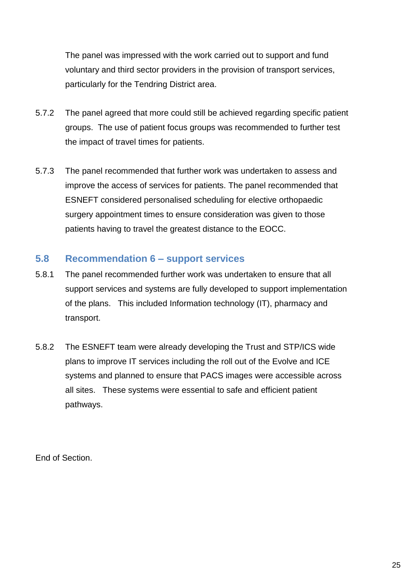The panel was impressed with the work carried out to support and fund voluntary and third sector providers in the provision of transport services, particularly for the Tendring District area.

- 5.7.2 The panel agreed that more could still be achieved regarding specific patient groups. The use of patient focus groups was recommended to further test the impact of travel times for patients.
- 5.7.3 The panel recommended that further work was undertaken to assess and improve the access of services for patients. The panel recommended that ESNEFT considered personalised scheduling for elective orthopaedic surgery appointment times to ensure consideration was given to those patients having to travel the greatest distance to the EOCC.

### **5.8 Recommendation 6 – support services**

- 5.8.1 The panel recommended further work was undertaken to ensure that all support services and systems are fully developed to support implementation of the plans. This included Information technology (IT), pharmacy and transport.
- 5.8.2 The ESNEFT team were already developing the Trust and STP/ICS wide plans to improve IT services including the roll out of the Evolve and ICE systems and planned to ensure that PACS images were accessible across all sites. These systems were essential to safe and efficient patient pathways.

End of Section.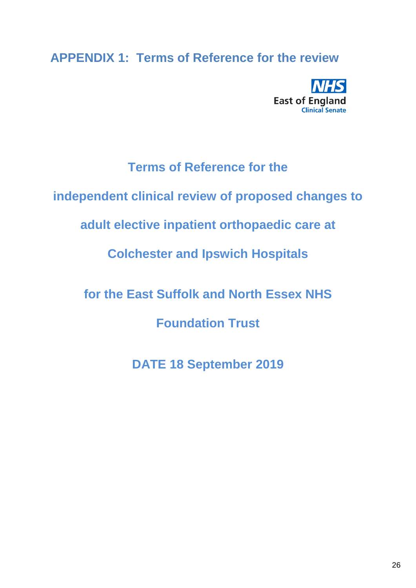# **APPENDIX 1: Terms of Reference for the review**



# **Terms of Reference for the**

**independent clinical review of proposed changes to** 

**adult elective inpatient orthopaedic care at** 

**Colchester and Ipswich Hospitals** 

**for the East Suffolk and North Essex NHS** 

**Foundation Trust**

**DATE 18 September 2019**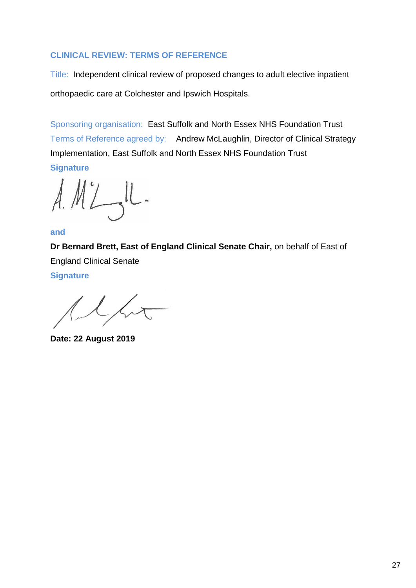### **CLINICAL REVIEW: TERMS OF REFERENCE**

Title: Independent clinical review of proposed changes to adult elective inpatient orthopaedic care at Colchester and Ipswich Hospitals.

Sponsoring organisation: East Suffolk and North Essex NHS Foundation Trust Terms of Reference agreed by: Andrew McLaughlin, Director of Clinical Strategy Implementation, East Suffolk and North Essex NHS Foundation Trust **Signature**

 $A.M' L-U$ 

#### **and**

**Dr Bernard Brett, East of England Clinical Senate Chair,** on behalf of East of England Clinical Senate

**Signature**

 $\sqrt{2}$ 

**Date: 22 August 2019**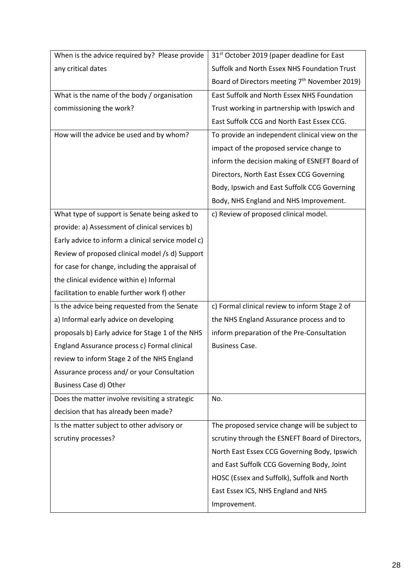| any critical dates<br>Suffolk and North Essex NHS Foundation Trust                              |  |
|-------------------------------------------------------------------------------------------------|--|
| Board of Directors meeting 7 <sup>th</sup> November 2019)                                       |  |
| East Suffolk and North Essex NHS Foundation<br>What is the name of the body / organisation      |  |
| commissioning the work?<br>Trust working in partnership with Ipswich and                        |  |
| East Suffolk CCG and North East Essex CCG.                                                      |  |
| How will the advice be used and by whom?<br>To provide an independent clinical view on the      |  |
| impact of the proposed service change to                                                        |  |
| inform the decision making of ESNEFT Board of                                                   |  |
| Directors, North East Essex CCG Governing                                                       |  |
| Body, Ipswich and East Suffolk CCG Governing                                                    |  |
| Body, NHS England and NHS Improvement.                                                          |  |
| What type of support is Senate being asked to<br>c) Review of proposed clinical model.          |  |
| provide: a) Assessment of clinical services b)                                                  |  |
| Early advice to inform a clinical service model c)                                              |  |
| Review of proposed clinical model /s d) Support                                                 |  |
| for case for change, including the appraisal of                                                 |  |
| the clinical evidence within e) Informal                                                        |  |
| facilitation to enable further work f) other                                                    |  |
| Is the advice being requested from the Senate<br>c) Formal clinical review to inform Stage 2 of |  |
| a) Informal early advice on developing<br>the NHS England Assurance process and to              |  |
| proposals b) Early advice for Stage 1 of the NHS<br>inform preparation of the Pre-Consultation  |  |
| England Assurance process c) Formal clinical<br><b>Business Case.</b>                           |  |
| review to inform Stage 2 of the NHS England                                                     |  |
| Assurance process and/ or your Consultation                                                     |  |
| Business Case d) Other                                                                          |  |
| Does the matter involve revisiting a strategic<br>No.                                           |  |
| decision that has already been made?                                                            |  |
| The proposed service change will be subject to<br>Is the matter subject to other advisory or    |  |
| scrutiny processes?<br>scrutiny through the ESNEFT Board of Directors,                          |  |
| North East Essex CCG Governing Body, Ipswich                                                    |  |
| and East Suffolk CCG Governing Body, Joint                                                      |  |
| HOSC (Essex and Suffolk), Suffolk and North                                                     |  |
| East Essex ICS, NHS England and NHS                                                             |  |
| Improvement.                                                                                    |  |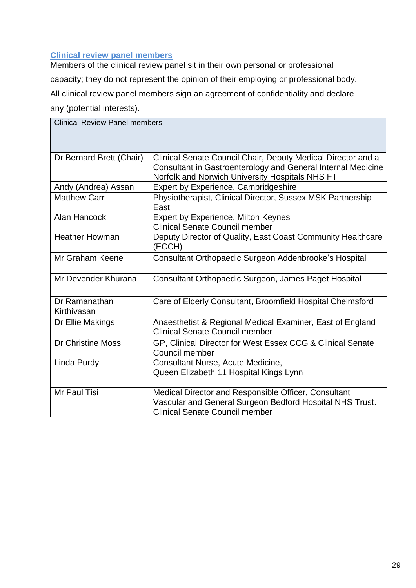#### **Clinical review panel members**

Members of the clinical review panel sit in their own personal or professional capacity; they do not represent the opinion of their employing or professional body. All clinical review panel members sign an agreement of confidentiality and declare any (potential interests).

| <b>Clinical Review Panel members</b> |                                                                                                                                                                                 |  |
|--------------------------------------|---------------------------------------------------------------------------------------------------------------------------------------------------------------------------------|--|
| Dr Bernard Brett (Chair)             | Clinical Senate Council Chair, Deputy Medical Director and a<br>Consultant in Gastroenterology and General Internal Medicine<br>Norfolk and Norwich University Hospitals NHS FT |  |
| Andy (Andrea) Assan                  | <b>Expert by Experience, Cambridgeshire</b>                                                                                                                                     |  |
| <b>Matthew Carr</b>                  | Physiotherapist, Clinical Director, Sussex MSK Partnership<br>East                                                                                                              |  |
| <b>Alan Hancock</b>                  | <b>Expert by Experience, Milton Keynes</b><br><b>Clinical Senate Council member</b>                                                                                             |  |
| <b>Heather Howman</b>                | Deputy Director of Quality, East Coast Community Healthcare<br>(ECCH)                                                                                                           |  |
| Mr Graham Keene                      | Consultant Orthopaedic Surgeon Addenbrooke's Hospital                                                                                                                           |  |
| Mr Devender Khurana                  | Consultant Orthopaedic Surgeon, James Paget Hospital                                                                                                                            |  |
| Dr Ramanathan<br>Kirthivasan         | Care of Elderly Consultant, Broomfield Hospital Chelmsford                                                                                                                      |  |
| Dr Ellie Makings                     | Anaesthetist & Regional Medical Examiner, East of England<br><b>Clinical Senate Council member</b>                                                                              |  |
| Dr Christine Moss                    | GP, Clinical Director for West Essex CCG & Clinical Senate<br>Council member                                                                                                    |  |
| Linda Purdy                          | Consultant Nurse, Acute Medicine,<br>Queen Elizabeth 11 Hospital Kings Lynn                                                                                                     |  |
| Mr Paul Tisi                         | Medical Director and Responsible Officer, Consultant<br>Vascular and General Surgeon Bedford Hospital NHS Trust.<br><b>Clinical Senate Council member</b>                       |  |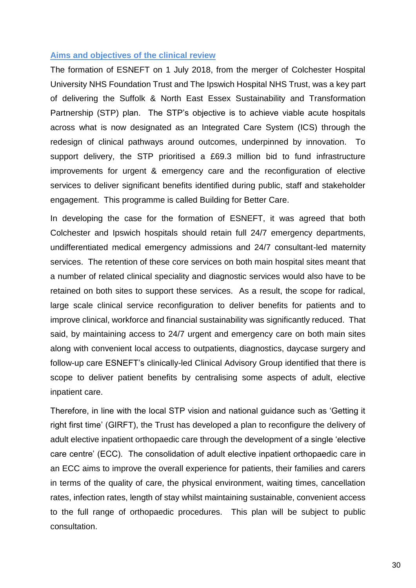#### **Aims and objectives of the clinical review**

The formation of ESNEFT on 1 July 2018, from the merger of Colchester Hospital University NHS Foundation Trust and The Ipswich Hospital NHS Trust, was a key part of delivering the Suffolk & North East Essex Sustainability and Transformation Partnership (STP) plan. The STP's objective is to achieve viable acute hospitals across what is now designated as an Integrated Care System (ICS) through the redesign of clinical pathways around outcomes, underpinned by innovation. To support delivery, the STP prioritised a £69.3 million bid to fund infrastructure improvements for urgent & emergency care and the reconfiguration of elective services to deliver significant benefits identified during public, staff and stakeholder engagement. This programme is called Building for Better Care.

In developing the case for the formation of ESNEFT, it was agreed that both Colchester and Ipswich hospitals should retain full 24/7 emergency departments, undifferentiated medical emergency admissions and 24/7 consultant-led maternity services. The retention of these core services on both main hospital sites meant that a number of related clinical speciality and diagnostic services would also have to be retained on both sites to support these services. As a result, the scope for radical, large scale clinical service reconfiguration to deliver benefits for patients and to improve clinical, workforce and financial sustainability was significantly reduced. That said, by maintaining access to 24/7 urgent and emergency care on both main sites along with convenient local access to outpatients, diagnostics, daycase surgery and follow-up care ESNEFT's clinically-led Clinical Advisory Group identified that there is scope to deliver patient benefits by centralising some aspects of adult, elective inpatient care.

Therefore, in line with the local STP vision and national guidance such as 'Getting it right first time' (GIRFT), the Trust has developed a plan to reconfigure the delivery of adult elective inpatient orthopaedic care through the development of a single 'elective care centre' (ECC). The consolidation of adult elective inpatient orthopaedic care in an ECC aims to improve the overall experience for patients, their families and carers in terms of the quality of care, the physical environment, waiting times, cancellation rates, infection rates, length of stay whilst maintaining sustainable, convenient access to the full range of orthopaedic procedures. This plan will be subject to public consultation.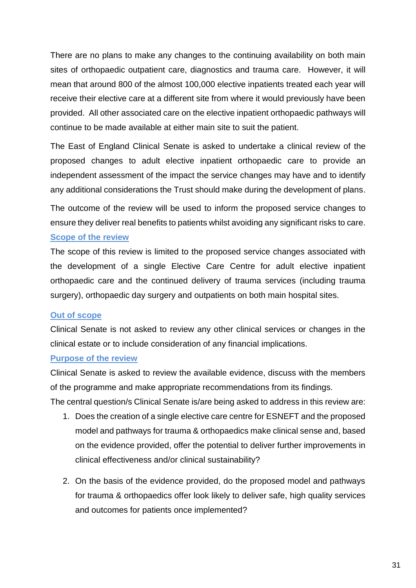There are no plans to make any changes to the continuing availability on both main sites of orthopaedic outpatient care, diagnostics and trauma care. However, it will mean that around 800 of the almost 100,000 elective inpatients treated each year will receive their elective care at a different site from where it would previously have been provided. All other associated care on the elective inpatient orthopaedic pathways will continue to be made available at either main site to suit the patient.

The East of England Clinical Senate is asked to undertake a clinical review of the proposed changes to adult elective inpatient orthopaedic care to provide an independent assessment of the impact the service changes may have and to identify any additional considerations the Trust should make during the development of plans.

The outcome of the review will be used to inform the proposed service changes to ensure they deliver real benefits to patients whilst avoiding any significant risks to care. **Scope of the review**

The scope of this review is limited to the proposed service changes associated with the development of a single Elective Care Centre for adult elective inpatient orthopaedic care and the continued delivery of trauma services (including trauma surgery), orthopaedic day surgery and outpatients on both main hospital sites.

#### **Out of scope**

Clinical Senate is not asked to review any other clinical services or changes in the clinical estate or to include consideration of any financial implications.

#### **Purpose of the review**

Clinical Senate is asked to review the available evidence, discuss with the members of the programme and make appropriate recommendations from its findings.

The central question/s Clinical Senate is/are being asked to address in this review are:

- 1. Does the creation of a single elective care centre for ESNEFT and the proposed model and pathways for trauma & orthopaedics make clinical sense and, based on the evidence provided, offer the potential to deliver further improvements in clinical effectiveness and/or clinical sustainability?
- 2. On the basis of the evidence provided, do the proposed model and pathways for trauma & orthopaedics offer look likely to deliver safe, high quality services and outcomes for patients once implemented?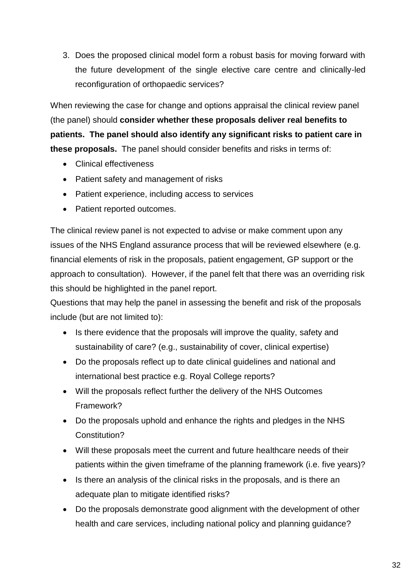3. Does the proposed clinical model form a robust basis for moving forward with the future development of the single elective care centre and clinically-led reconfiguration of orthopaedic services?

When reviewing the case for change and options appraisal the clinical review panel (the panel) should **consider whether these proposals deliver real benefits to patients. The panel should also identify any significant risks to patient care in these proposals.** The panel should consider benefits and risks in terms of:

- Clinical effectiveness
- Patient safety and management of risks
- Patient experience, including access to services
- Patient reported outcomes.

The clinical review panel is not expected to advise or make comment upon any issues of the NHS England assurance process that will be reviewed elsewhere (e.g. financial elements of risk in the proposals, patient engagement, GP support or the approach to consultation). However, if the panel felt that there was an overriding risk this should be highlighted in the panel report.

Questions that may help the panel in assessing the benefit and risk of the proposals include (but are not limited to):

- Is there evidence that the proposals will improve the quality, safety and sustainability of care? (e.g., sustainability of cover, clinical expertise)
- Do the proposals reflect up to date clinical guidelines and national and international best practice e.g. Royal College reports?
- Will the proposals reflect further the delivery of the NHS Outcomes Framework?
- Do the proposals uphold and enhance the rights and pledges in the NHS Constitution?
- Will these proposals meet the current and future healthcare needs of their patients within the given timeframe of the planning framework (i.e. five years)?
- Is there an analysis of the clinical risks in the proposals, and is there an adequate plan to mitigate identified risks?
- Do the proposals demonstrate good alignment with the development of other health and care services, including national policy and planning guidance?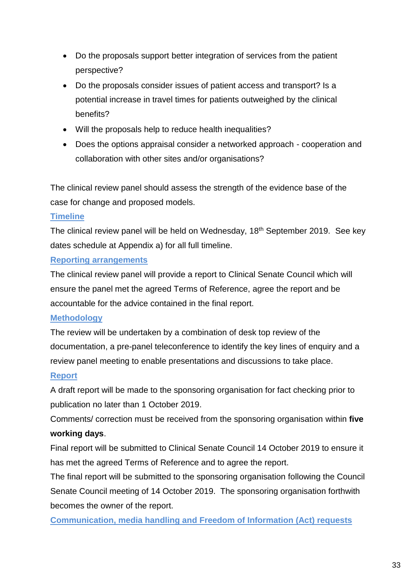- Do the proposals support better integration of services from the patient perspective?
- Do the proposals consider issues of patient access and transport? Is a potential increase in travel times for patients outweighed by the clinical benefits?
- Will the proposals help to reduce health inequalities?
- Does the options appraisal consider a networked approach cooperation and collaboration with other sites and/or organisations?

The clinical review panel should assess the strength of the evidence base of the case for change and proposed models.

#### **Timeline**

The clinical review panel will be held on Wednesday, 18<sup>th</sup> September 2019. See key dates schedule at Appendix a) for all full timeline.

#### **Reporting arrangements**

The clinical review panel will provide a report to Clinical Senate Council which will ensure the panel met the agreed Terms of Reference, agree the report and be accountable for the advice contained in the final report.

#### **Methodology**

The review will be undertaken by a combination of desk top review of the documentation, a pre-panel teleconference to identify the key lines of enquiry and a review panel meeting to enable presentations and discussions to take place.

#### **Report**

A draft report will be made to the sponsoring organisation for fact checking prior to publication no later than 1 October 2019.

Comments/ correction must be received from the sponsoring organisation within **five working days**.

Final report will be submitted to Clinical Senate Council 14 October 2019 to ensure it has met the agreed Terms of Reference and to agree the report.

The final report will be submitted to the sponsoring organisation following the Council Senate Council meeting of 14 October 2019. The sponsoring organisation forthwith becomes the owner of the report.

**Communication, media handling and Freedom of Information (Act) requests**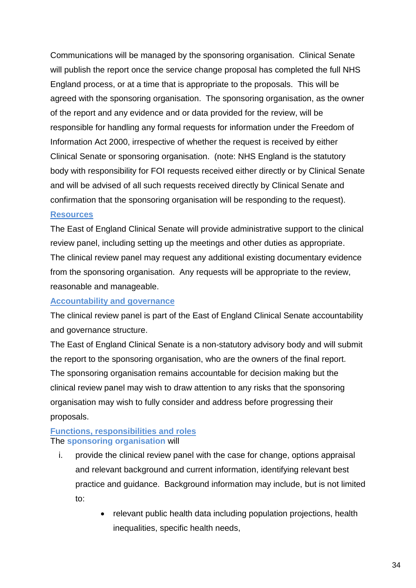Communications will be managed by the sponsoring organisation. Clinical Senate will publish the report once the service change proposal has completed the full NHS England process, or at a time that is appropriate to the proposals. This will be agreed with the sponsoring organisation. The sponsoring organisation, as the owner of the report and any evidence and or data provided for the review, will be responsible for handling any formal requests for information under the Freedom of Information Act 2000, irrespective of whether the request is received by either Clinical Senate or sponsoring organisation. (note: NHS England is the statutory body with responsibility for FOI requests received either directly or by Clinical Senate and will be advised of all such requests received directly by Clinical Senate and confirmation that the sponsoring organisation will be responding to the request).

#### **Resources**

The East of England Clinical Senate will provide administrative support to the clinical review panel, including setting up the meetings and other duties as appropriate. The clinical review panel may request any additional existing documentary evidence from the sponsoring organisation. Any requests will be appropriate to the review, reasonable and manageable.

#### **Accountability and governance**

The clinical review panel is part of the East of England Clinical Senate accountability and governance structure.

The East of England Clinical Senate is a non-statutory advisory body and will submit the report to the sponsoring organisation, who are the owners of the final report. The sponsoring organisation remains accountable for decision making but the clinical review panel may wish to draw attention to any risks that the sponsoring organisation may wish to fully consider and address before progressing their proposals.

#### **Functions, responsibilities and roles** The **sponsoring organisation** will

- i. provide the clinical review panel with the case for change, options appraisal and relevant background and current information, identifying relevant best practice and guidance. Background information may include, but is not limited to:
	- relevant public health data including population projections, health inequalities, specific health needs,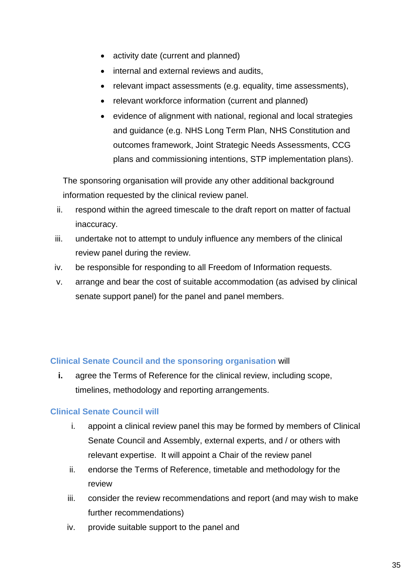- activity date (current and planned)
- internal and external reviews and audits,
- relevant impact assessments (e.g. equality, time assessments),
- relevant workforce information (current and planned)
- evidence of alignment with national, regional and local strategies and guidance (e.g. NHS Long Term Plan, NHS Constitution and outcomes framework, Joint Strategic Needs Assessments, CCG plans and commissioning intentions, STP implementation plans).

The sponsoring organisation will provide any other additional background information requested by the clinical review panel.

- ii. respond within the agreed timescale to the draft report on matter of factual inaccuracy.
- iii. undertake not to attempt to unduly influence any members of the clinical review panel during the review.
- iv. be responsible for responding to all Freedom of Information requests.
- v. arrange and bear the cost of suitable accommodation (as advised by clinical senate support panel) for the panel and panel members.

### **Clinical Senate Council and the sponsoring organisation** will

**i.** agree the Terms of Reference for the clinical review, including scope, timelines, methodology and reporting arrangements.

### **Clinical Senate Council will**

- i. appoint a clinical review panel this may be formed by members of Clinical Senate Council and Assembly, external experts, and / or others with relevant expertise. It will appoint a Chair of the review panel
- ii. endorse the Terms of Reference, timetable and methodology for the review
- iii. consider the review recommendations and report (and may wish to make further recommendations)
- iv. provide suitable support to the panel and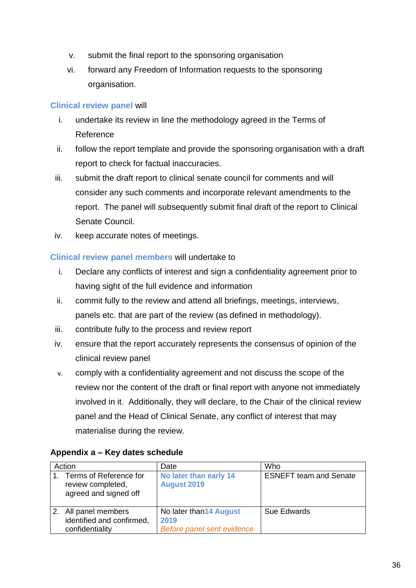- v. submit the final report to the sponsoring organisation
- vi. forward any Freedom of Information requests to the sponsoring organisation.

### **Clinical review panel** will

- i. undertake its review in line the methodology agreed in the Terms of Reference
- ii. follow the report template and provide the sponsoring organisation with a draft report to check for factual inaccuracies.
- iii. submit the draft report to clinical senate council for comments and will consider any such comments and incorporate relevant amendments to the report. The panel will subsequently submit final draft of the report to Clinical Senate Council.
- iv. keep accurate notes of meetings.

#### **Clinical review panel members** will undertake to

- i. Declare any conflicts of interest and sign a confidentiality agreement prior to having sight of the full evidence and information
- ii. commit fully to the review and attend all briefings, meetings, interviews, panels etc. that are part of the review (as defined in methodology).
- iii. contribute fully to the process and review report
- iv. ensure that the report accurately represents the consensus of opinion of the clinical review panel
- v. comply with a confidentiality agreement and not discuss the scope of the review nor the content of the draft or final report with anyone not immediately involved in it. Additionally, they will declare, to the Chair of the clinical review panel and the Head of Clinical Senate, any conflict of interest that may materialise during the review.

| Action |                                                                      | Date                                                          | Who                           |
|--------|----------------------------------------------------------------------|---------------------------------------------------------------|-------------------------------|
|        | Terms of Reference for<br>review completed,<br>agreed and signed off | No later than early 14<br><b>August 2019</b>                  | <b>ESNEFT team and Senate</b> |
|        | 2. All panel members<br>identified and confirmed,<br>confidentiality | No later than 14 August<br>2019<br>Before panel sent evidence | <b>Sue Edwards</b>            |

#### **Appendix a – Key dates schedule**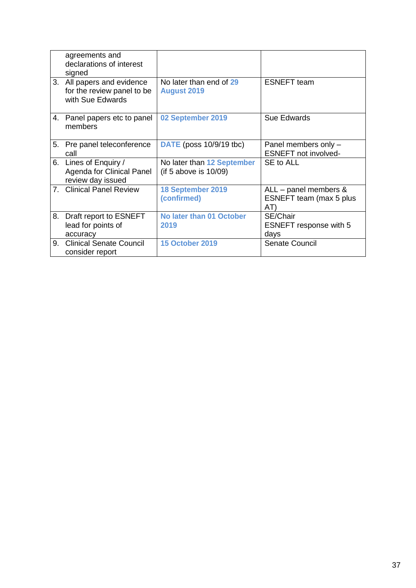|    | agreements and<br>declarations of interest<br>signed                      |                                                     |                                                             |
|----|---------------------------------------------------------------------------|-----------------------------------------------------|-------------------------------------------------------------|
| 3. | All papers and evidence<br>for the review panel to be<br>with Sue Edwards | No later than end of 29<br><b>August 2019</b>       | <b>ESNEFT</b> team                                          |
| 4. | Panel papers etc to panel<br>members                                      | 02 September 2019                                   | <b>Sue Edwards</b>                                          |
| 5. | Pre panel teleconference<br>call                                          | <b>DATE</b> (poss 10/9/19 tbc)                      | Panel members only -<br><b>ESNEFT</b> not involved-         |
|    | 6. Lines of Enquiry /<br>Agenda for Clinical Panel<br>review day issued   | No later than 12 September<br>(if 5 above is 10/09) | SE to ALL                                                   |
| 7. | <b>Clinical Panel Review</b>                                              | 18 September 2019<br>(confirmed)                    | $ALL$ – panel members $&$<br>ESNEFT team (max 5 plus<br>AT) |
| 8. | Draft report to ESNEFT<br>lead for points of<br>accuracy                  | No later than 01 October<br>2019                    | SE/Chair<br><b>ESNEFT</b> response with 5<br>days           |
| 9. | <b>Clinical Senate Council</b><br>consider report                         | <b>15 October 2019</b>                              | Senate Council                                              |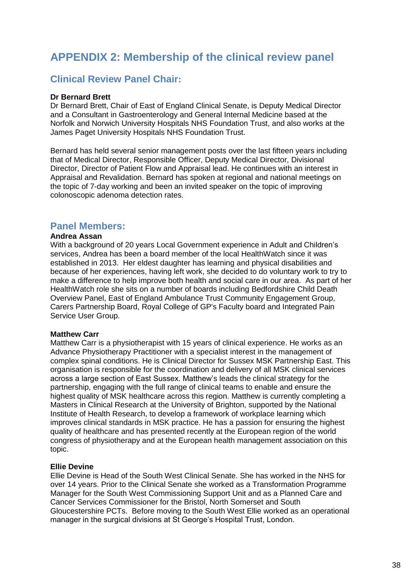# **APPENDIX 2: Membership of the clinical review panel**

### **Clinical Review Panel Chair:**

#### **Dr Bernard Brett**

Dr Bernard Brett, Chair of East of England Clinical Senate, is Deputy Medical Director and a Consultant in Gastroenterology and General Internal Medicine based at the Norfolk and Norwich University Hospitals NHS Foundation Trust, and also works at the James Paget University Hospitals NHS Foundation Trust.

Bernard has held several senior management posts over the last fifteen years including that of Medical Director, Responsible Officer, Deputy Medical Director, Divisional Director, Director of Patient Flow and Appraisal lead. He continues with an interest in Appraisal and Revalidation. Bernard has spoken at regional and national meetings on the topic of 7-day working and been an invited speaker on the topic of improving colonoscopic adenoma detection rates.

#### **Panel Members:**

#### **Andrea Assan**

With a background of 20 years Local Government experience in Adult and Children's services, Andrea has been a board member of the local HealthWatch since it was established in 2013. Her eldest daughter has learning and physical disabilities and because of her experiences, having left work, she decided to do voluntary work to try to make a difference to help improve both health and social care in our area. As part of her HealthWatch role she sits on a number of boards including Bedfordshire Child Death Overview Panel, East of England Ambulance Trust Community Engagement Group, Carers Partnership Board, Royal College of GP's Faculty board and Integrated Pain Service User Group.

#### **Matthew Carr**

Matthew Carr is a physiotherapist with 15 years of clinical experience. He works as an Advance Physiotherapy Practitioner with a specialist interest in the management of complex spinal conditions. He is Clinical Director for Sussex MSK Partnership East. This organisation is responsible for the coordination and delivery of all MSK clinical services across a large section of East Sussex. Matthew's leads the clinical strategy for the partnership, engaging with the full range of clinical teams to enable and ensure the highest quality of MSK healthcare across this region. Matthew is currently completing a Masters in Clinical Research at the University of Brighton, supported by the National Institute of Health Research, to develop a framework of workplace learning which improves clinical standards in MSK practice. He has a passion for ensuring the highest quality of healthcare and has presented recently at the European region of the world congress of physiotherapy and at the European health management association on this topic.

#### **Ellie Devine**

Ellie Devine is Head of the South West Clinical Senate. She has worked in the NHS for over 14 years. Prior to the Clinical Senate she worked as a Transformation Programme Manager for the South West Commissioning Support Unit and as a Planned Care and Cancer Services Commissioner for the Bristol, North Somerset and South Gloucestershire PCTs. Before moving to the South West Ellie worked as an operational manager in the surgical divisions at St George's Hospital Trust, London.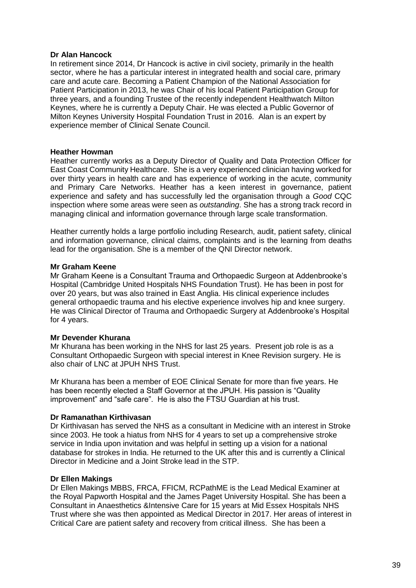#### **Dr Alan Hancock**

In retirement since 2014, Dr Hancock is active in civil society, primarily in the health sector, where he has a particular interest in integrated health and social care, primary care and acute care. Becoming a Patient Champion of the National Association for Patient Participation in 2013, he was Chair of his local Patient Participation Group for three years, and a founding Trustee of the recently independent Healthwatch Milton Keynes, where he is currently a Deputy Chair. He was elected a Public Governor of Milton Keynes University Hospital Foundation Trust in 2016. Alan is an expert by experience member of Clinical Senate Council.

#### **Heather Howman**

Heather currently works as a Deputy Director of Quality and Data Protection Officer for East Coast Community Healthcare. She is a very experienced clinician having worked for over thirty years in health care and has experience of working in the acute, community and Primary Care Networks. Heather has a keen interest in governance, patient experience and safety and has successfully led the organisation through a *Good* CQC inspection where some areas were seen as *outstanding*. She has a strong track record in managing clinical and information governance through large scale transformation.

Heather currently holds a large portfolio including Research, audit, patient safety, clinical and information governance, clinical claims, complaints and is the learning from deaths lead for the organisation. She is a member of the QNI Director network.

#### **Mr Graham Keene**

Mr Graham Keene is a Consultant Trauma and Orthopaedic Surgeon at Addenbrooke's Hospital (Cambridge United Hospitals NHS Foundation Trust). He has been in post for over 20 years, but was also trained in East Anglia. His clinical experience includes general orthopaedic trauma and his elective experience involves hip and knee surgery. He was Clinical Director of Trauma and Orthopaedic Surgery at Addenbrooke's Hospital for 4 years.

#### **Mr Devender Khurana**

Mr Khurana has been working in the NHS for last 25 years. Present job role is as a Consultant Orthopaedic Surgeon with special interest in Knee Revision surgery. He is also chair of LNC at JPUH NHS Trust.

Mr Khurana has been a member of EOE Clinical Senate for more than five years. He has been recently elected a Staff Governor at the JPUH. His passion is "Quality improvement" and "safe care". He is also the FTSU Guardian at his trust.

#### **Dr Ramanathan Kirthivasan**

Dr Kirthivasan has served the NHS as a consultant in Medicine with an interest in Stroke since 2003. He took a hiatus from NHS for 4 years to set up a comprehensive stroke service in India upon invitation and was helpful in setting up a vision for a national database for strokes in India. He returned to the UK after this and is currently a Clinical Director in Medicine and a Joint Stroke lead in the STP.

#### **Dr Ellen Makings**

Dr Ellen Makings MBBS, FRCA, FFICM, RCPathME is the Lead Medical Examiner at the Royal Papworth Hospital and the James Paget University Hospital. She has been a Consultant in Anaesthetics &Intensive Care for 15 years at Mid Essex Hospitals NHS Trust where she was then appointed as Medical Director in 2017. Her areas of interest in Critical Care are patient safety and recovery from critical illness. She has been a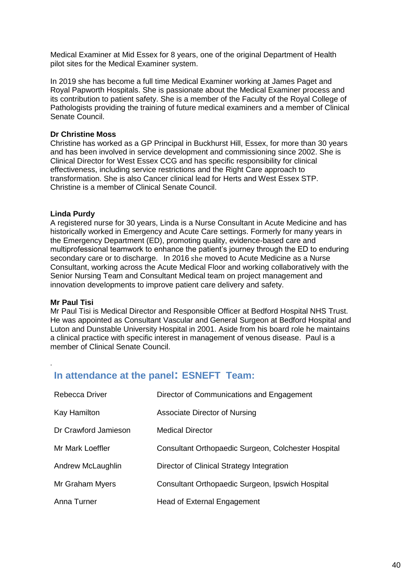Medical Examiner at Mid Essex for 8 years, one of the original Department of Health pilot sites for the Medical Examiner system.

In 2019 she has become a full time Medical Examiner working at James Paget and Royal Papworth Hospitals. She is passionate about the Medical Examiner process and its contribution to patient safety. She is a member of the Faculty of the Royal College of Pathologists providing the training of future medical examiners and a member of Clinical Senate Council.

#### **Dr Christine Moss**

Christine has worked as a GP Principal in Buckhurst Hill, Essex, for more than 30 years and has been involved in service development and commissioning since 2002. She is Clinical Director for West Essex CCG and has specific responsibility for clinical effectiveness, including service restrictions and the Right Care approach to transformation. She is also Cancer clinical lead for Herts and West Essex STP. Christine is a member of Clinical Senate Council.

#### **Linda Purdy**

A registered nurse for 30 years, Linda is a Nurse Consultant in Acute Medicine and has historically worked in Emergency and Acute Care settings. Formerly for many years in the Emergency Department (ED), promoting quality, evidence-based care and multiprofessional teamwork to enhance the patient's journey through the ED to enduring secondary care or to discharge. In 2016 she moved to Acute Medicine as a Nurse Consultant, working across the Acute Medical Floor and working collaboratively with the Senior Nursing Team and Consultant Medical team on project management and innovation developments to improve patient care delivery and safety.

#### **Mr Paul Tisi**

.

Mr Paul Tisi is Medical Director and Responsible Officer at Bedford Hospital NHS Trust. He was appointed as Consultant Vascular and General Surgeon at Bedford Hospital and Luton and Dunstable University Hospital in 2001. Aside from his board role he maintains a clinical practice with specific interest in management of venous disease. Paul is a member of Clinical Senate Council.

### **In attendance at the panel: ESNEFT Team:**

| Rebecca Driver       | Director of Communications and Engagement           |
|----------------------|-----------------------------------------------------|
| Kay Hamilton         | Associate Director of Nursing                       |
| Dr Crawford Jamieson | <b>Medical Director</b>                             |
| Mr Mark Loeffler     | Consultant Orthopaedic Surgeon, Colchester Hospital |
| Andrew McLaughlin    | Director of Clinical Strategy Integration           |
| Mr Graham Myers      | Consultant Orthopaedic Surgeon, Ipswich Hospital    |
| Anna Turner          | Head of External Engagement                         |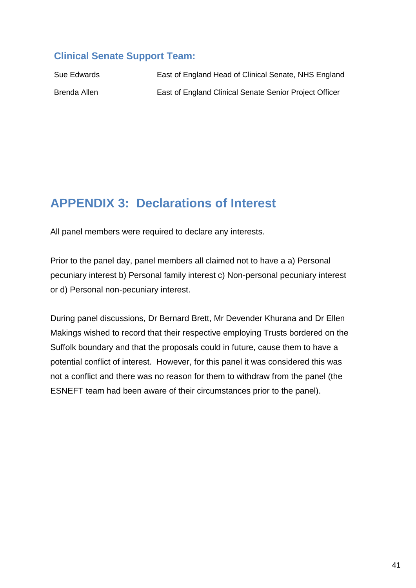### **Clinical Senate Support Team:**

| Sue Edwards  | East of England Head of Clinical Senate, NHS England   |
|--------------|--------------------------------------------------------|
| Brenda Allen | East of England Clinical Senate Senior Project Officer |

# **APPENDIX 3: Declarations of Interest**

All panel members were required to declare any interests.

Prior to the panel day, panel members all claimed not to have a a) Personal pecuniary interest b) Personal family interest c) Non-personal pecuniary interest or d) Personal non-pecuniary interest.

During panel discussions, Dr Bernard Brett, Mr Devender Khurana and Dr Ellen Makings wished to record that their respective employing Trusts bordered on the Suffolk boundary and that the proposals could in future, cause them to have a potential conflict of interest. However, for this panel it was considered this was not a conflict and there was no reason for them to withdraw from the panel (the ESNEFT team had been aware of their circumstances prior to the panel).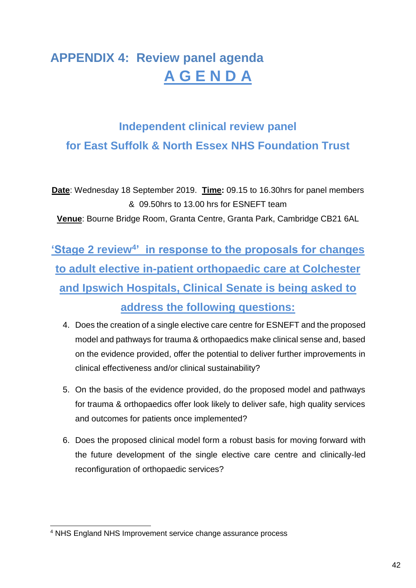# **APPENDIX 4: Review panel agenda A G E N D A**

# **Independent clinical review panel for East Suffolk & North Essex NHS Foundation Trust**

**Date**: Wednesday 18 September 2019. **Time:** 09.15 to 16.30hrs for panel members & 09.50hrs to 13.00 hrs for ESNEFT team **Venue**: Bourne Bridge Room, Granta Centre, Granta Park, Cambridge CB21 6AL

**'Stage 2 review<sup>4'</sup> in response to the proposals for changes to adult elective in-patient orthopaedic care at Colchester and Ipswich Hospitals, Clinical Senate is being asked to address the following questions:** 

- 4. Does the creation of a single elective care centre for ESNEFT and the proposed model and pathways for trauma & orthopaedics make clinical sense and, based on the evidence provided, offer the potential to deliver further improvements in clinical effectiveness and/or clinical sustainability?
- 5. On the basis of the evidence provided, do the proposed model and pathways for trauma & orthopaedics offer look likely to deliver safe, high quality services and outcomes for patients once implemented?
- 6. Does the proposed clinical model form a robust basis for moving forward with the future development of the single elective care centre and clinically-led reconfiguration of orthopaedic services?

<sup>-</sup><sup>4</sup> NHS England NHS Improvement service change assurance process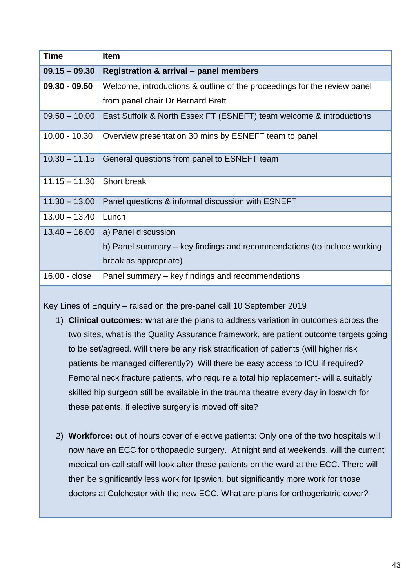| <b>Time</b>     | <b>Item</b>                                                              |
|-----------------|--------------------------------------------------------------------------|
| $09.15 - 09.30$ | Registration & arrival - panel members                                   |
| $09.30 - 09.50$ | Welcome, introductions & outline of the proceedings for the review panel |
|                 | from panel chair Dr Bernard Brett                                        |
| $09.50 - 10.00$ | East Suffolk & North Essex FT (ESNEFT) team welcome & introductions      |
| $10.00 - 10.30$ | Overview presentation 30 mins by ESNEFT team to panel                    |
| $10.30 - 11.15$ | General questions from panel to ESNEFT team                              |
| $11.15 - 11.30$ | Short break                                                              |
| $11.30 - 13.00$ | Panel questions & informal discussion with ESNEFT                        |
| $13.00 - 13.40$ | Lunch                                                                    |
| $13.40 - 16.00$ | a) Panel discussion                                                      |
|                 | b) Panel summary – key findings and recommendations (to include working  |
|                 | break as appropriate)                                                    |
| 16.00 - close   | Panel summary – key findings and recommendations                         |

Key Lines of Enquiry – raised on the pre-panel call 10 September 2019

- 1) **Clinical outcomes: w**hat are the plans to address variation in outcomes across the two sites, what is the Quality Assurance framework, are patient outcome targets going to be set/agreed. Will there be any risk stratification of patients (will higher risk patients be managed differently?) Will there be easy access to ICU if required? Femoral neck fracture patients, who require a total hip replacement- will a suitably skilled hip surgeon still be available in the trauma theatre every day in Ipswich for these patients, if elective surgery is moved off site?
- 2) **Workforce: o**ut of hours cover of elective patients: Only one of the two hospitals will now have an ECC for orthopaedic surgery. At night and at weekends, will the current medical on-call staff will look after these patients on the ward at the ECC. There will then be significantly less work for Ipswich, but significantly more work for those doctors at Colchester with the new ECC. What are plans for orthogeriatric cover?